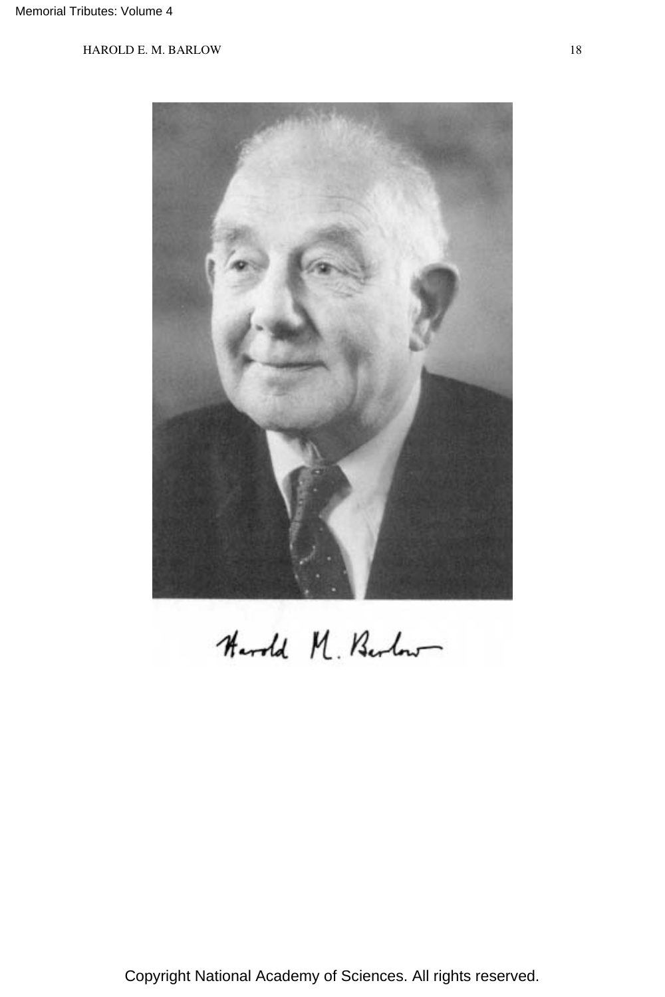

Harold M. Berlen

Copyright National Academy of Sciences. All rights reserved.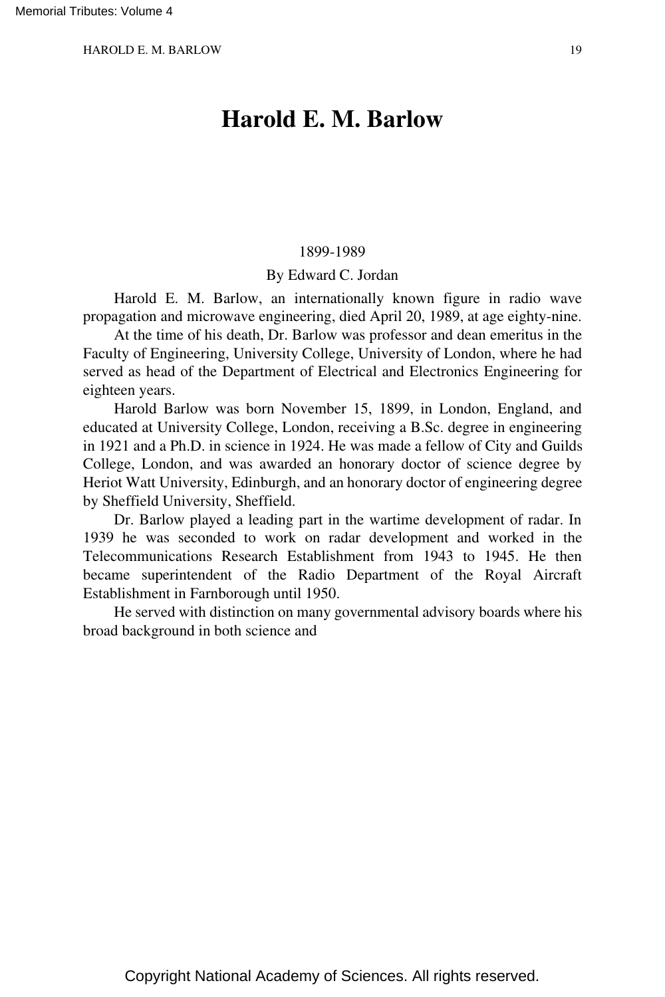# **Harold E. M. Barlow**

#### 1899-1989

#### By Edward C. Jordan

Harold E. M. Barlow, an internationally known figure in radio wave propagation and microwave engineering, died April 20, 1989, at age eighty-nine.

At the time of his death, Dr. Barlow was professor and dean emeritus in the Faculty of Engineering, University College, University of London, where he had served as head of the Department of Electrical and Electronics Engineering for eighteen years.

Harold Barlow was born November 15, 1899, in London, England, and educated at University College, London, receiving a B.Sc. degree in engineering in 1921 and a Ph.D. in science in 1924. He was made a fellow of City and Guilds College, London, and was awarded an honorary doctor of science degree by Heriot Watt University, Edinburgh, and an honorary doctor of engineering degree by Sheffield University, Sheffield.

Dr. Barlow played a leading part in the wartime development of radar. In 1939 he was seconded to work on radar development and worked in the Telecommunications Research Establishment from 1943 to 1945. He then became superintendent of the Radio Department of the Royal Aircraft Establishment in Farnborough until 1950.

He served with distinction on many governmental advisory boards where his broad background in both science and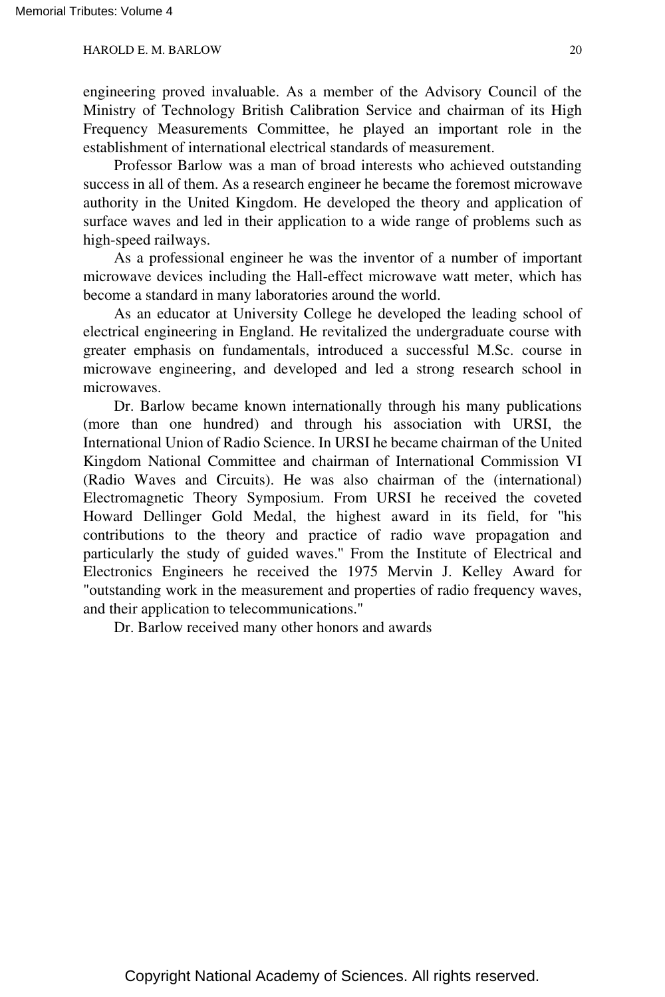engineering proved invaluable. As a member of the Advisory Council of the Ministry of Technology British Calibration Service and chairman of its High Frequency Measurements Committee, he played an important role in the establishment of international electrical standards of measurement.

Professor Barlow was a man of broad interests who achieved outstanding success in all of them. As a research engineer he became the foremost microwave authority in the United Kingdom. He developed the theory and application of surface waves and led in their application to a wide range of problems such as high-speed railways.

As a professional engineer he was the inventor of a number of important microwave devices including the Hall-effect microwave watt meter, which has become a standard in many laboratories around the world.

As an educator at University College he developed the leading school of electrical engineering in England. He revitalized the undergraduate course with greater emphasis on fundamentals, introduced a successful M.Sc. course in microwave engineering, and developed and led a strong research school in microwaves.

Dr. Barlow became known internationally through his many publications (more than one hundred) and through his association with URSI, the International Union of Radio Science. In URSI he became chairman of the United Kingdom National Committee and chairman of International Commission VI (Radio Waves and Circuits). He was also chairman of the (international) Electromagnetic Theory Symposium. From URSI he received the coveted Howard Dellinger Gold Medal, the highest award in its field, for ''his contributions to the theory and practice of radio wave propagation and particularly the study of guided waves.'' From the Institute of Electrical and Electronics Engineers he received the 1975 Mervin J. Kelley Award for "outstanding work in the measurement and properties of radio frequency waves, and their application to telecommunications."

Dr. Barlow received many other honors and awards